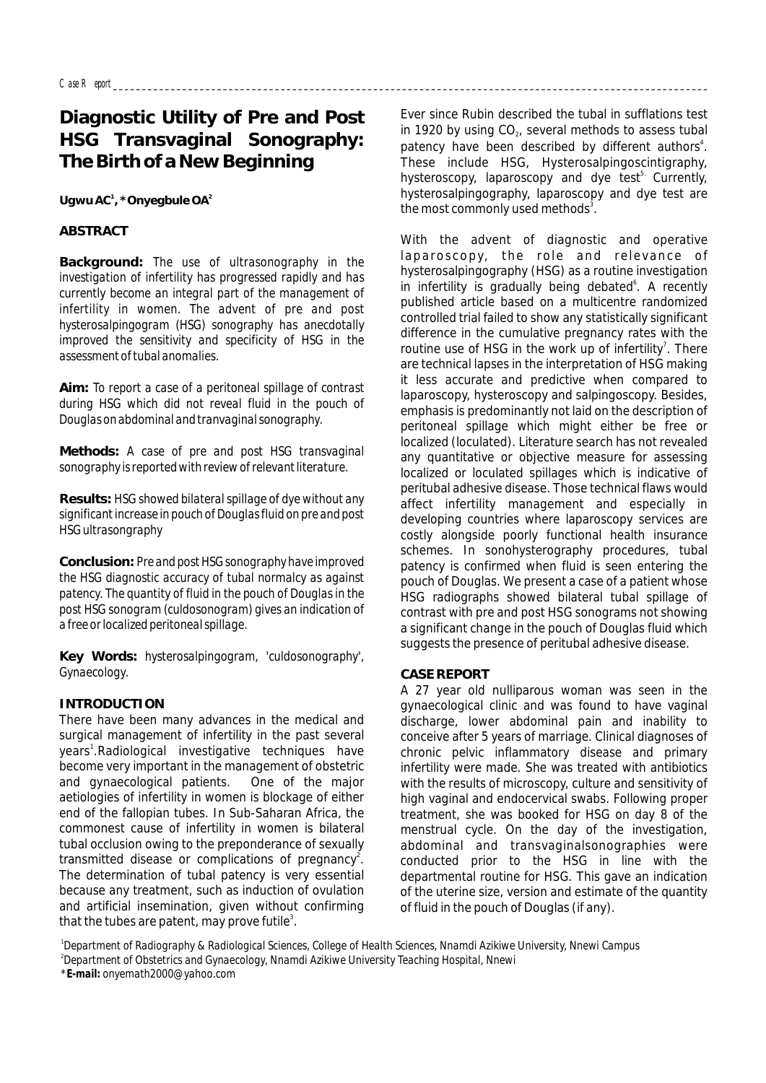# **Diagnostic Utility of Pre and Post HSG Transvaginal Sonography: The Birth of a New Beginning**

**<sup>1</sup> <sup>2</sup> Ugwu AC , \*Onyegbule OA**

### **ABSTRACT**

**Background:** *The use of ultrasonography in the investigation of infertility has progressed rapidly and has currently become an integral part of the management of infertility in women. The advent of pre and post hysterosalpingogram (HSG) sonography has anecdotally improved the sensitivity and specificity of HSG in the assessment of tubal anomalies.*

**Aim:** *To report a case of a peritoneal spillage of contrast during HSG which did not reveal fluid in the pouch of Douglas on abdominal and tranvaginal sonography.*

**Methods:** *A case of pre and post HSG transvaginal sonography is reported with review of relevant literature.*

**Results:** *HSG showed bilateral spillage of dye without any significant increase in pouch of Douglas fluid on pre and post HSG ultrasongraphy* 

**Conclusion:** *Pre and post HSG sonography have improved the HSG diagnostic accuracy of tubal normalcy as against patency. The quantity of fluid in the pouch of Douglas in the post HSG sonogram (culdosonogram) gives an indication of a free or localized peritoneal spillage.*

**Key Words:** *hysterosalpingogram, 'culdosonography', Gynaecology.*

#### **INTRODUCTION**

There have been many advances in the medical and surgical management of infertility in the past several years<sup>1</sup>.Radiological investigative techniques have become very important in the management of obstetric and gynaecological patients. One of the major aetiologies of infertility in women is blockage of either end of the fallopian tubes. In Sub-Saharan Africa, the commonest cause of infertility in women is bilateral tubal occlusion owing to the preponderance of sexually transmitted disease or complications of pregnancy<sup>2</sup>. The determination of tubal patency is very essential because any treatment, such as induction of ovulation and artificial insemination, given without confirming that the tubes are patent, may prove futile<sup>3</sup>.

Ever since Rubin described the tubal in sufflations test in 1920 by using  $CO<sub>2</sub>$ , several methods to assess tubal patency have been described by different authors<sup>4</sup>. These include HSG, Hysterosalpingoscintigraphy, hysteroscopy, laparoscopy and dye test<sup>5</sup> Currently, hysterosalpingography, laparoscopy and dye test are the most commonly used methods<sup>3</sup>.

With the advent of diagnostic and operative laparoscopy, the role and relevance of hysterosalpingography (HSG) as a routine investigation in infertility is gradually being debated<sup>6</sup>. A recently published article based on a multicentre randomized controlled trial failed to show any statistically significant difference in the cumulative pregnancy rates with the routine use of HSG in the work up of infertility<sup>7</sup>. There are technical lapses in the interpretation of HSG making it less accurate and predictive when compared to laparoscopy, hysteroscopy and salpingoscopy. Besides, emphasis is predominantly not laid on the description of peritoneal spillage which might either be free or localized (loculated). Literature search has not revealed any quantitative or objective measure for assessing localized or loculated spillages which is indicative of peritubal adhesive disease. Those technical flaws would affect infertility management and especially in developing countries where laparoscopy services are costly alongside poorly functional health insurance schemes. In sonohysterography procedures, tubal patency is confirmed when fluid is seen entering the pouch of Douglas. We present a case of a patient whose HSG radiographs showed bilateral tubal spillage of contrast with pre and post HSG sonograms not showing a significant change in the pouch of Douglas fluid which suggests the presence of peritubal adhesive disease.

#### **CASE REPORT**

A 27 year old nulliparous woman was seen in the gynaecological clinic and was found to have vaginal discharge, lower abdominal pain and inability to conceive after 5 years of marriage. Clinical diagnoses of chronic pelvic inflammatory disease and primary infertility were made. She was treated with antibiotics with the results of microscopy, culture and sensitivity of high vaginal and endocervical swabs. Following proper treatment, she was booked for HSG on day 8 of the menstrual cycle. On the day of the investigation, abdominal and transvaginalsonographies were conducted prior to the HSG in line with the departmental routine for HSG. This gave an indication of the uterine size, version and estimate of the quantity of fluid in the pouch of Douglas (if any).

*1 Department of Radiography & Radiological Sciences, College of Health Sciences, Nnamdi Azikiwe University, Nnewi Campus 2 Department of Obstetrics and Gynaecology, Nnamdi Azikiwe University Teaching Hospital, Nnewi \*E-mail: onyemath2000@yahoo.com*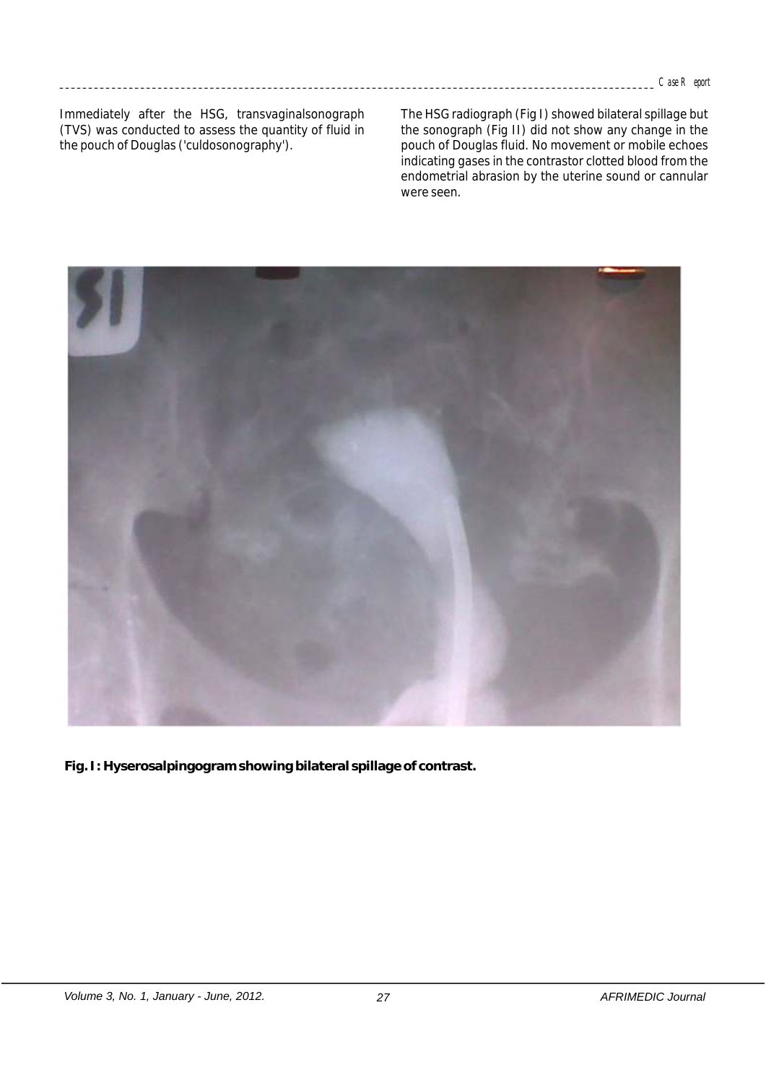Immediately after the HSG, transvaginalsonograph (TVS) was conducted to assess the quantity of fluid in the pouch of Douglas ('culdosonography').

The HSG radiograph (Fig I) showed bilateral spillage but the sonograph (Fig II) did not show any change in the pouch of Douglas fluid. No movement or mobile echoes indicating gases in the contrastor clotted blood from the endometrial abrasion by the uterine sound or cannular were seen.



**Fig. I: Hyserosalpingogram showing bilateral spillage of contrast.**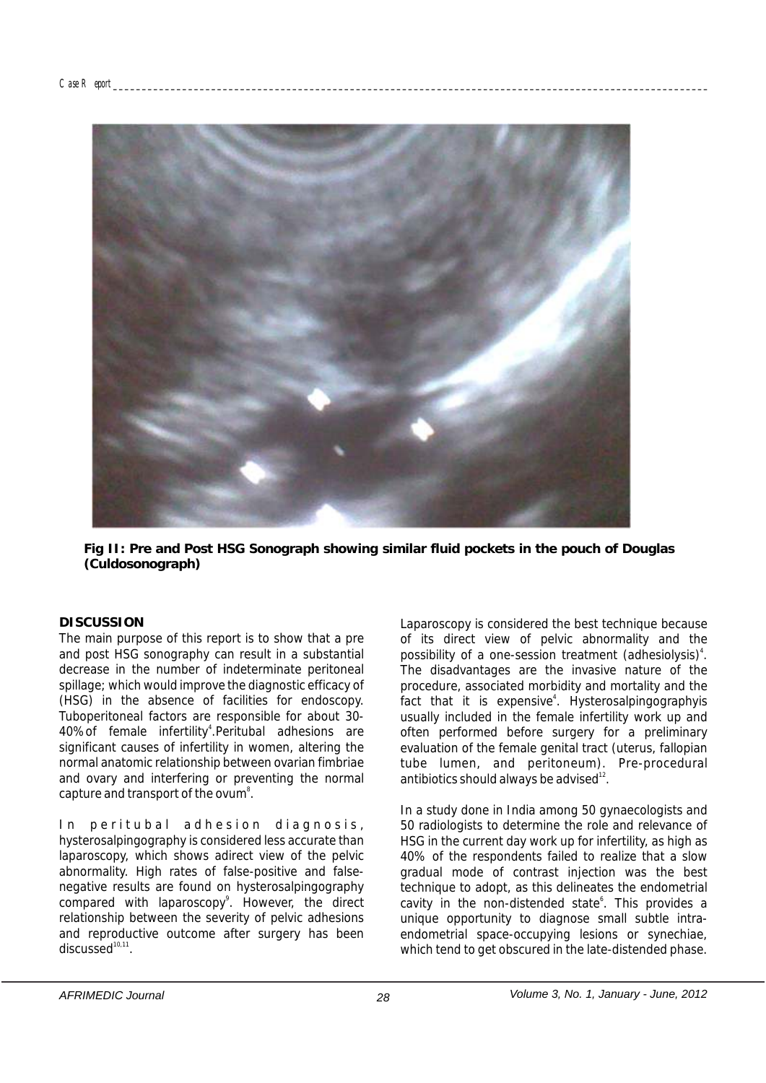

**Fig II: Pre and Post HSG Sonograph showing similar fluid pockets in the pouch of Douglas (Culdosonograph)**

#### **DISCUSSION**

The main purpose of this report is to show that a pre and post HSG sonography can result in a substantial decrease in the number of indeterminate peritoneal spillage; which would improve the diagnostic efficacy of (HSG) in the absence of facilities for endoscopy. Tuboperitoneal factors are responsible for about 30- 40% of female infertility<sup>4</sup>. Peritubal adhesions are significant causes of infertility in women, altering the normal anatomic relationship between ovarian fimbriae and ovary and interfering or preventing the normal capture and transport of the ovum<sup>8</sup>.

In peritubal adhesion diagnosis, hysterosalpingography is considered less accurate than laparoscopy, which shows adirect view of the pelvic abnormality. High rates of false-positive and falsenegative results are found on hysterosalpingography compared with laparoscopy<sup>9</sup>. However, the direct relationship between the severity of pelvic adhesions and reproductive outcome after surgery has been  $discussed<sup>10,11</sup>$ .

Laparoscopy is considered the best technique because of its direct view of pelvic abnormality and the possibility of a one-session treatment (adhesiolysis)<sup>4</sup>. The disadvantages are the invasive nature of the procedure, associated morbidity and mortality and the fact that it is expensive<sup>4</sup>. Hysterosalpingographyis usually included in the female infertility work up and often performed before surgery for a preliminary evaluation of the female genital tract (uterus, fallopian tube lumen, and peritoneum). Pre-procedural antibiotics should always be advised $^{12}$ .

In a study done in India among 50 gynaecologists and 50 radiologists to determine the role and relevance of HSG in the current day work up for infertility, as high as 40% of the respondents failed to realize that a slow gradual mode of contrast injection was the best technique to adopt, as this delineates the endometrial cavity in the non-distended state<sup>6</sup>. This provides a unique opportunity to diagnose small subtle intraendometrial space-occupying lesions or synechiae, which tend to get obscured in the late-distended phase.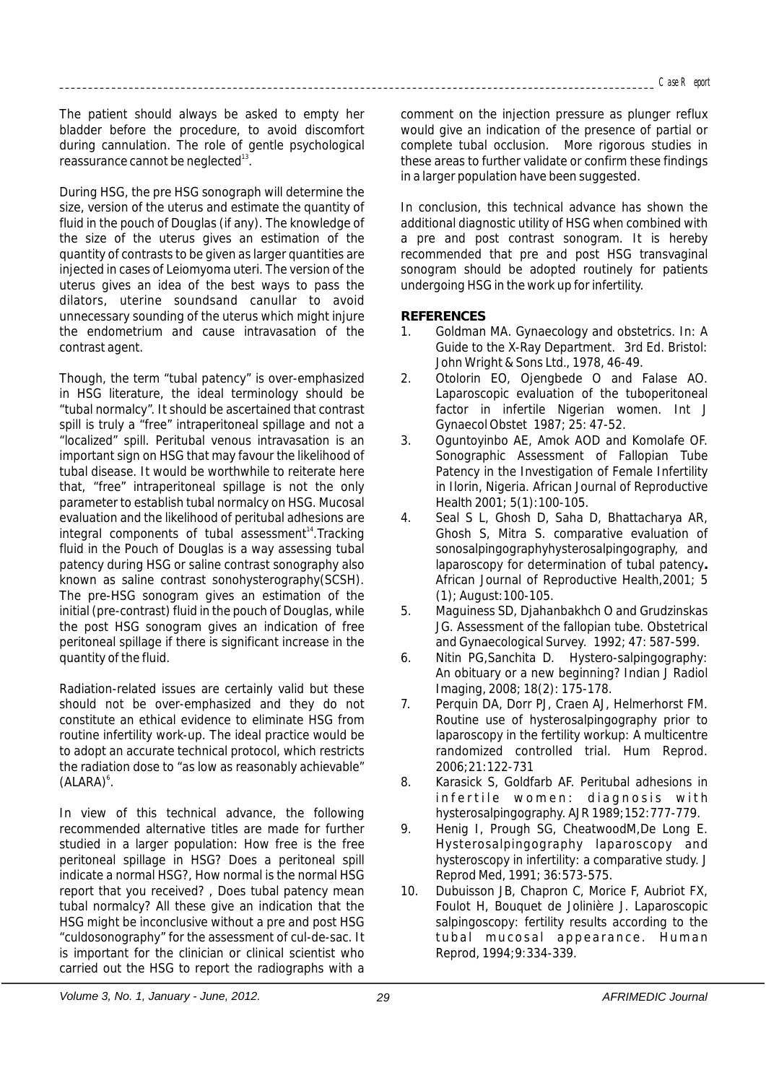The patient should always be asked to empty her bladder before the procedure, to avoid discomfort during cannulation. The role of gentle psychological reassurance cannot be neglected<sup>13</sup>.

During HSG, the pre HSG sonograph will determine the size, version of the uterus and estimate the quantity of fluid in the pouch of Douglas (if any). The knowledge of the size of the uterus gives an estimation of the quantity of contrasts to be given as larger quantities are injected in cases of Leiomyoma uteri. The version of the uterus gives an idea of the best ways to pass the dilators, uterine soundsand canullar to avoid unnecessary sounding of the uterus which might injure the endometrium and cause intravasation of the contrast agent.

Though, the term "tubal patency" is over-emphasized in HSG literature, the ideal terminology should be "tubal normalcy". It should be ascertained that contrast spill is truly a "free" intraperitoneal spillage and not a "localized" spill. Peritubal venous intravasation is an important sign on HSG that may favour the likelihood of tubal disease. It would be worthwhile to reiterate here that, "free" intraperitoneal spillage is not the only parameter to establish tubal normalcy on HSG. Mucosal evaluation and the likelihood of peritubal adhesions are integral components of tubal assessment $14$ . Tracking fluid in the Pouch of Douglas is a way assessing tubal patency during HSG or saline contrast sonography also known as saline contrast sonohysterography(SCSH). The pre-HSG sonogram gives an estimation of the initial (pre-contrast) fluid in the pouch of Douglas, while the post HSG sonogram gives an indication of free peritoneal spillage if there is significant increase in the quantity of the fluid.

Radiation-related issues are certainly valid but these should not be over-emphasized and they do not constitute an ethical evidence to eliminate HSG from routine infertility work-up. The ideal practice would be to adopt an accurate technical protocol, which restricts the radiation dose to "as low as reasonably achievable" (ALARA)<sup>6</sup>.

In view of this technical advance, the following recommended alternative titles are made for further studied in a larger population: How free is the free peritoneal spillage in HSG? Does a peritoneal spill indicate a normal HSG?, How normal is the normal HSG report that you received? , Does tubal patency mean tubal normalcy? All these give an indication that the HSG might be inconclusive without a pre and post HSG "culdosonography" for the assessment of cul-de-sac. It is important for the clinician or clinical scientist who carried out the HSG to report the radiographs with a comment on the injection pressure as plunger reflux would give an indication of the presence of partial or complete tubal occlusion. More rigorous studies in these areas to further validate or confirm these findings in a larger population have been suggested.

In conclusion, this technical advance has shown the additional diagnostic utility of HSG when combined with a pre and post contrast sonogram. It is hereby recommended that pre and post HSG transvaginal sonogram should be adopted routinely for patients undergoing HSG in the work up for infertility.

## **REFERENCES**

- 1. Goldman MA. Gynaecology and obstetrics. In: A Guide to the X-Ray Department. 3rd Ed. Bristol: John Wright & Sons Ltd., 1978, 46-49.
- 2. Otolorin EO, Ojengbede O and Falase AO. Laparoscopic evaluation of the tuboperitoneal factor in infertile Nigerian women. Int J Gynaecol Obstet 1987; 25: 47-52.
- 3. Oguntoyinbo AE, Amok AOD and Komolafe OF. Sonographic Assessment of Fallopian Tube Patency in the Investigation of Female Infertility in Ilorin, Nigeria. African Journal of Reproductive Health 2001; 5(1):100-105.
- 4. Seal S L, Ghosh D, Saha D, Bhattacharya AR, Ghosh S, Mitra S. comparative evaluation of sonosalpingographyhysterosalpingography, and laparoscopy for determination of tubal patency**.**  African Journal of Reproductive Health,2001; 5 (1); August:100-105.
- 5. Maguiness SD, Djahanbakhch O and Grudzinskas JG. Assessment of the fallopian tube. Obstetrical and Gynaecological Survey. 1992; 47: 587-599.
- 6. Nitin PG,Sanchita D. Hystero-salpingography: An obituary or a new beginning? Indian J Radiol Imaging, 2008; 18(2): 175-178.
- 7. Perquin DA, Dorr PJ, Craen AJ, Helmerhorst FM. Routine use of hysterosalpingography prior to laparoscopy in the fertility workup: A multicentre randomized controlled trial. Hum Reprod. 2006;21:122-731
- 8. Karasick S, Goldfarb AF. Peritubal adhesions in infertile women: diagnosis with hysterosalpingography. AJR 1989;152:777-779.
- 9. Henig I, Prough SG, CheatwoodM,De Long E. Hysterosalpingography laparoscopy and hysteroscopy in infertility: a comparative study. J Reprod Med, 1991; 36:573-575.
- 10. Dubuisson JB, Chapron C, Morice F, Aubriot FX, Foulot H, Bouquet de Jolinière J. Laparoscopic salpingoscopy: fertility results according to the tubal mucosal appearance. Human Reprod, 1994;9:334-339.